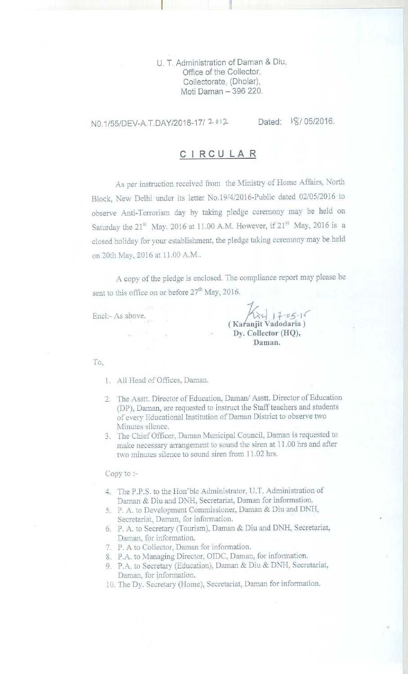U. T. Administration of Daman & Diu, **Office of the Collector, Collectorate** , ( **Dholar), Moti Daman - 396 220.**

N0.1/55/DEV-A.T.DAY/2016-17/ 2012 Dated: 18/ 05/2016.

## **CIRCULAR**

As per instruction received from the Ministry of Home Affairs, North Block. New Delhi under its letter No.19/4/2016-Public dated 02/05/2016 to observe Anti-Terrorism day by taking pledge ceremony may be held on Saturday the 21" May. 2016 at 11.00 A.M. However, if 21" May, 2016 is a closed holiday for your establishment, the pledge taking ceremony may be held on 20th May, 2016 at 11.00 A.M..

A copy of the **pledge is enclosed**. The compliance report may **please be** sent to this office on or before  $27<sup>th</sup>$  May, 2016.

Encl:- As above.

**( Kai'anjit Vadodaria)** Dy. Collector (HQ), Daman. **05. 1**

To,

- 1. All Head of Offices. **Daman.**
- 2. The Asstt. Director of Education. Daman/ Asstt. Director of Education **(DP), Daman**, **are requested to instruct the Staff teachers and students** of every Educational Institution of Daman District to observe two Minutes silence.
- 3. The Chief Officer, Daman Municipal Council, Daman is requested to **make necessary arrangement to sound the siren at 11.00 hrs and after** two minutes silence to sound siren from 11.02 hrs.

Copy to :-

- 4 The P.P.S. to the Hon'ble Administrator, U.T. Administration of Daman & Diu and DNH, Secretariat, Daman for information.
- 5. P. A. to Development Commissioner, Daman & Diu and DNH, Secretariat, Daman, for information.
- 6. P. A. to Secretary (Tourism), Daman & Diu and DNH, Secretariat, Daman, for information.
- 7. P. A to Collector, Daman for information.
- S. P.A. to Managing Director, OIDC, Daman, for information.
- 9. P.A. to Secretary (Education), Daman & Diu & DNH. Secretariat, Daman, for information.
- 10. The Dy. Secretary (Home), Secretariat, Daman for information.